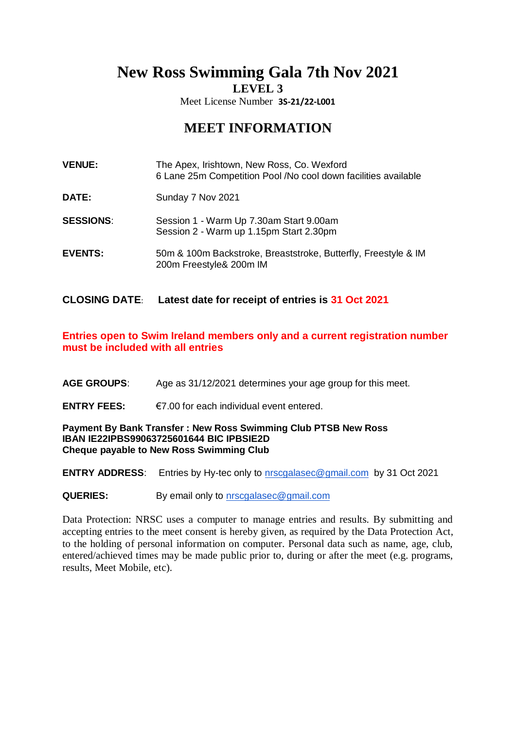**New Ross Swimming Gala 7th Nov 2021**

**LEVEL 3**

Meet License Number **3S-21/22-L001**

# **MEET INFORMATION**

| <b>VENUE:</b> | The Apex, Irishtown, New Ross, Co. Wexford                     |
|---------------|----------------------------------------------------------------|
|               | 6 Lane 25m Competition Pool /No cool down facilities available |

- **DATE:** Sunday 7 Nov 2021
- **SESSIONS**: Session 1 Warm Up 7.30am Start 9.00am Session 2 - Warm up 1.15pm Start 2.30pm
- **EVENTS:** 50m & 100m Backstroke, Breaststroke, Butterfly, Freestyle & IM 200m Freestyle& 200m IM

## **CLOSING DATE**: **Latest date for receipt of entries is 31 Oct 2021**

# **Entries open to Swim Ireland members only and a current registration number must be included with all entries**

- **AGE GROUPS**: Age as 31/12/2021 determines your age group for this meet.
- **ENTRY FEES:** €7.00 for each individual event entered.

## **Payment By Bank Transfer : New Ross Swimming Club PTSB New Ross IBAN IE22IPBS99063725601644 BIC IPBSIE2D Cheque payable to New Ross Swimming Club**

**ENTRY ADDRESS**: Entries by Hy-tec only to [nrscgalasec@gmail.com](mailto:nrscgalasec@gmail.com) by 31 Oct 2021

**QUERIES:** By email only to [nrscgalasec@gmail.com](mailto:nrscgalasec@gmail.com)

Data Protection: NRSC uses a computer to manage entries and results. By submitting and accepting entries to the meet consent is hereby given, as required by the Data Protection Act, to the holding of personal information on computer. Personal data such as name, age, club, entered/achieved times may be made public prior to, during or after the meet (e.g. programs, results, Meet Mobile, etc).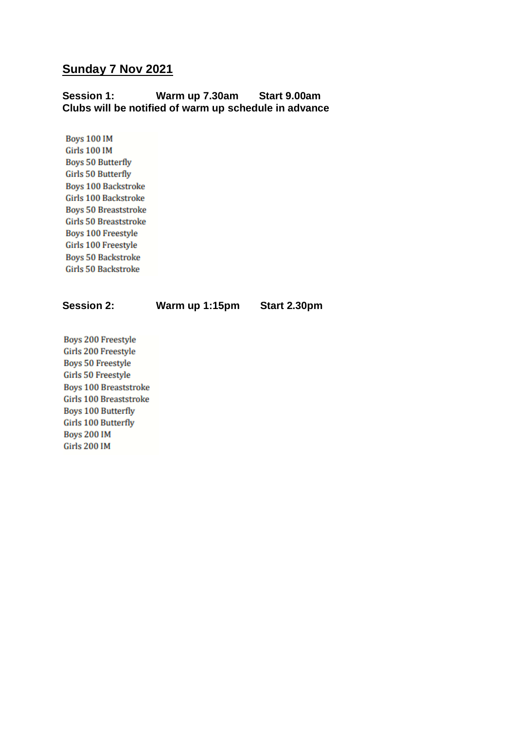# **Sunday 7 Nov 2021**

# **Session 1: Warm up 7.30am Start 9.00am Clubs will be notified of warm up schedule in advance**

**Boys 100 IM Girls 100 IM Boys 50 Butterfly Girls 50 Butterfly Boys 100 Backstroke** Girls 100 Backstroke **Boys 50 Breaststroke Girls 50 Breaststroke Boys 100 Freestyle** Girls 100 Freestyle **Boys 50 Backstroke Girls 50 Backstroke** 

**Session 2: Warm up 1:15pm Start 2.30pm**

**Boys 200 Freestyle** Girls 200 Freestyle **Boys 50 Freestyle Girls 50 Freestyle Boys 100 Breaststroke Girls 100 Breaststroke Boys 100 Butterfly Girls 100 Butterfly Boys 200 IM Girls 200 IM**